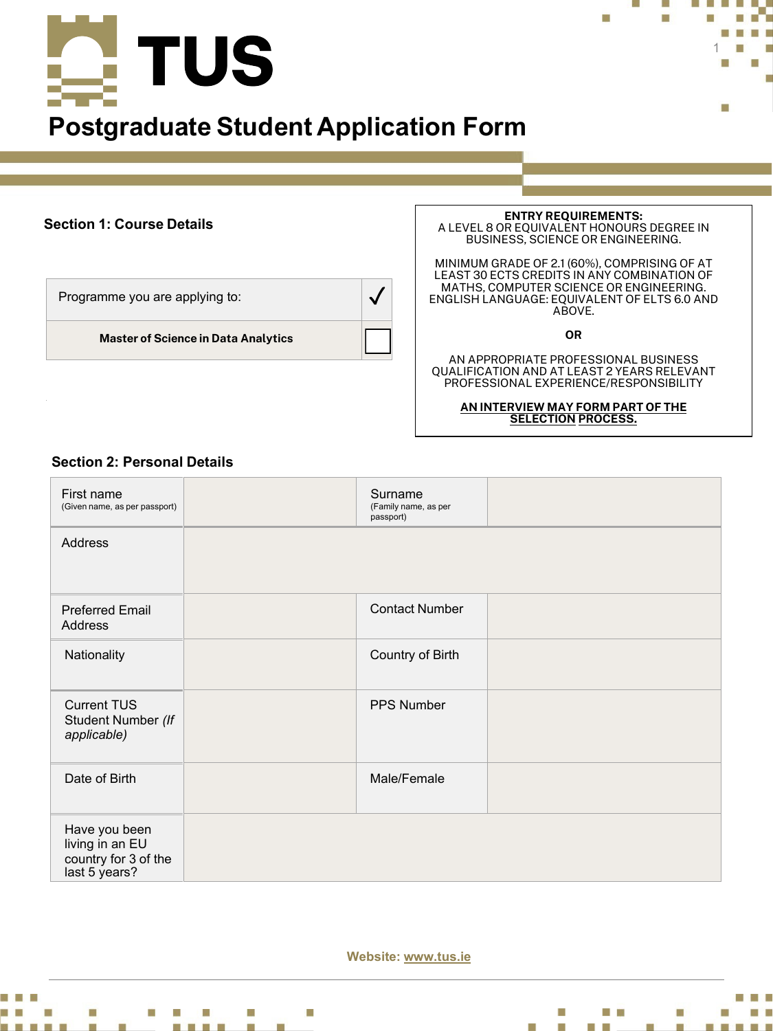

# **Postgraduate Student Application Form**

# **Section 1: Course Details**

Programme you are applying to:  $\sqrt{}$ 

**Master of Science in Data Analytics**

#### **ENTRY REQUIREMENTS:**  A LEVEL 8 OR EQUIVALENT HONOURS DEGREE IN BUSINESS, SCIENCE OR ENGINEERING.

1

п

MINIMUM GRADE OF 2.1 (60%), COMPRISING OF AT LEAST 30 ECTS CREDITS IN ANY COMBINATION OF MATHS, COMPUTER SCIENCE OR ENGINEERING. ENGLISH LANGUAGE: EQUIVALENT OF ELTS 6.0 AND ABOVE.

**OR**

AN APPROPRIATE PROFESSIONAL BUSINESS QUALIFICATION AND AT LEAST 2 YEARS RELEVANT PROFESSIONAL EXPERIENCE/RESPONSIBILITY

> **AN INTERVIEW MAY FORM PART OF THE SELECTION PROCESS.**

# **Section 2: Personal Details**

| First name<br>(Given name, as per passport)                               | Surname<br>(Family name, as per<br>passport) |  |
|---------------------------------------------------------------------------|----------------------------------------------|--|
| Address                                                                   |                                              |  |
| <b>Preferred Email</b><br><b>Address</b>                                  | <b>Contact Number</b>                        |  |
| Nationality                                                               | Country of Birth                             |  |
| <b>Current TUS</b><br>Student Number (If<br>applicable)                   | <b>PPS Number</b>                            |  |
| Date of Birth                                                             | Male/Female                                  |  |
| Have you been<br>living in an EU<br>country for 3 of the<br>last 5 years? |                                              |  |

**Website: www.tus.ie**



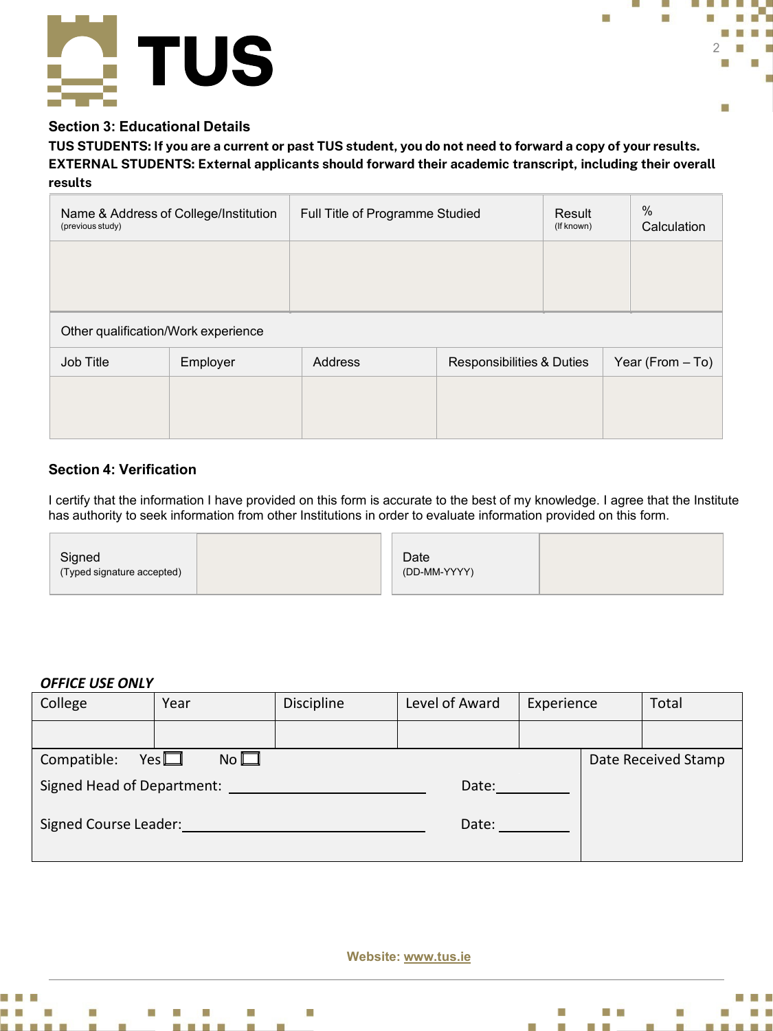



# **Section 3: Educational Details**

**TUS STUDENTS: If you are a current or past TUS student, you do not need to forward a copy of your results. EXTERNAL STUDENTS: External applicants should forward their academic transcript, including their overall results**

| Name & Address of College/Institution<br>(previous study) |          | Full Title of Programme Studied |                           | Result<br>(If known) | $\%$<br>Calculation |  |  |
|-----------------------------------------------------------|----------|---------------------------------|---------------------------|----------------------|---------------------|--|--|
|                                                           |          |                                 |                           |                      |                     |  |  |
|                                                           |          |                                 |                           |                      |                     |  |  |
| Other qualification/Work experience                       |          |                                 |                           |                      |                     |  |  |
| <b>Job Title</b>                                          | Employer | Address                         | Responsibilities & Duties |                      | Year (From - To)    |  |  |
|                                                           |          |                                 |                           |                      |                     |  |  |
|                                                           |          |                                 |                           |                      |                     |  |  |

# **Section 4: Verification**

I certify that the information I have provided on this form is accurate to the best of my knowledge. I agree that the Institute has authority to seek information from other Institutions in order to evaluate information provided on this form.

| Signed<br>(Typed signature accepted) |  | Date<br>(DD-MM-YYYY) |  |
|--------------------------------------|--|----------------------|--|
|--------------------------------------|--|----------------------|--|

## *OFFICE USE ONLY*

| College                    | Year                            | <b>Discipline</b> | Level of Award | Experience |  | Total               |
|----------------------------|---------------------------------|-------------------|----------------|------------|--|---------------------|
|                            |                                 |                   |                |            |  |                     |
| Compatible:                | $No$ $\square$<br>Yes $\square$ |                   |                |            |  | Date Received Stamp |
| Signed Head of Department: |                                 |                   | Date:          |            |  |                     |
| Signed Course Leader:      |                                 |                   | Date:          |            |  |                     |

**Website: www.tus.ie**